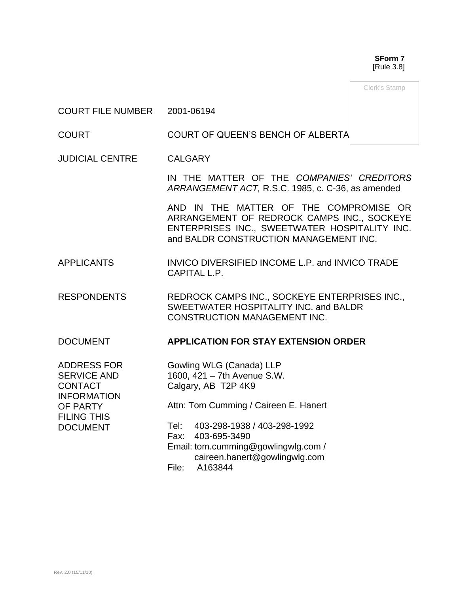**SForm 7** [Rule 3.8]

Clerk's Stamp

### COURT FILE NUMBER 2001-06194

COURT COURT OF QUEEN'S BENCH OF ALBERTA

JUDICIAL CENTRE CALGARY

IN THE MATTER OF THE *COMPANIES' CREDITORS ARRANGEMENT ACT,* R.S.C. 1985, c. C-36, as amended

AND IN THE MATTER OF THE COMPROMISE OR ARRANGEMENT OF REDROCK CAMPS INC., SOCKEYE ENTERPRISES INC., SWEETWATER HOSPITALITY INC. and BALDR CONSTRUCTION MANAGEMENT INC.

- APPLICANTS INVICO DIVERSIFIED INCOME L.P. and INVICO TRADE CAPITAL L.P.
- RESPONDENTS REDROCK CAMPS INC., SOCKEYE ENTERPRISES INC., SWEETWATER HOSPITALITY INC. and BALDR CONSTRUCTION MANAGEMENT INC.

### DOCUMENT **APPLICATION FOR STAY EXTENSION ORDER**

ADDRESS FOR SERVICE AND **CONTACT** INFORMATION OF PARTY FILING THIS DOCUMENT

Gowling WLG (Canada) LLP 1600, 421 – 7th Avenue S.W. Calgary, AB T2P 4K9

Attn: Tom Cumming / Caireen E. Hanert

Tel: 403-298-1938 / 403-298-1992 Fax: 403-695-3490 Email: tom.cumming@gowlingwlg.com / caireen.hanert@gowlingwlg.com File: A163844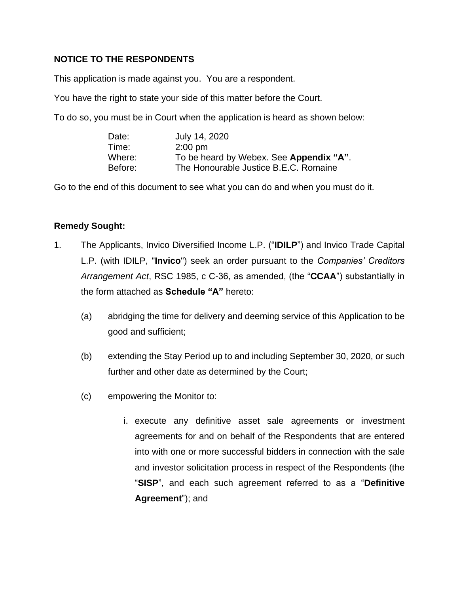## **NOTICE TO THE RESPONDENTS**

This application is made against you. You are a respondent.

You have the right to state your side of this matter before the Court.

To do so, you must be in Court when the application is heard as shown below:

| Date:   | July 14, 2020                           |
|---------|-----------------------------------------|
| Time:   | $2:00$ pm                               |
| Where:  | To be heard by Webex. See Appendix "A". |
| Before: | The Honourable Justice B.E.C. Romaine   |

Go to the end of this document to see what you can do and when you must do it.

## **Remedy Sought:**

- 1. The Applicants, Invico Diversified Income L.P. ("**IDILP**") and Invico Trade Capital L.P. (with IDILP, "**Invico**") seek an order pursuant to the *Companies' Creditors Arrangement Act*, RSC 1985, c C-36, as amended, (the "**CCAA**") substantially in the form attached as **Schedule "A"** hereto:
	- (a) abridging the time for delivery and deeming service of this Application to be good and sufficient;
	- (b) extending the Stay Period up to and including September 30, 2020, or such further and other date as determined by the Court;
	- (c) empowering the Monitor to:
		- i. execute any definitive asset sale agreements or investment agreements for and on behalf of the Respondents that are entered into with one or more successful bidders in connection with the sale and investor solicitation process in respect of the Respondents (the "**SISP**", and each such agreement referred to as a "**Definitive Agreement**"); and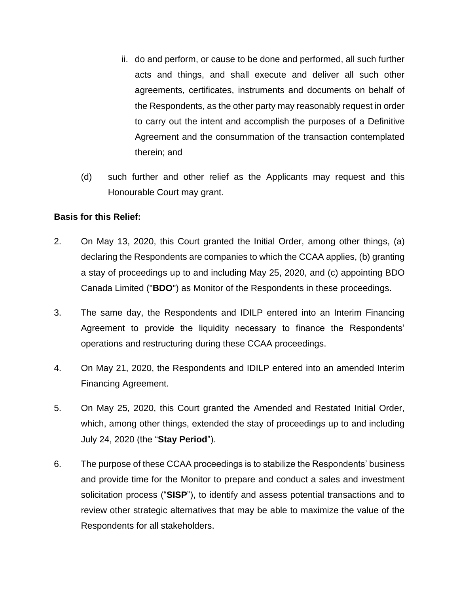- ii. do and perform, or cause to be done and performed, all such further acts and things, and shall execute and deliver all such other agreements, certificates, instruments and documents on behalf of the Respondents, as the other party may reasonably request in order to carry out the intent and accomplish the purposes of a Definitive Agreement and the consummation of the transaction contemplated therein; and
- (d) such further and other relief as the Applicants may request and this Honourable Court may grant.

### **Basis for this Relief:**

- 2. On May 13, 2020, this Court granted the Initial Order, among other things, (a) declaring the Respondents are companies to which the CCAA applies, (b) granting a stay of proceedings up to and including May 25, 2020, and (c) appointing BDO Canada Limited ("**BDO**") as Monitor of the Respondents in these proceedings.
- 3. The same day, the Respondents and IDILP entered into an Interim Financing Agreement to provide the liquidity necessary to finance the Respondents' operations and restructuring during these CCAA proceedings.
- 4. On May 21, 2020, the Respondents and IDILP entered into an amended Interim Financing Agreement.
- 5. On May 25, 2020, this Court granted the Amended and Restated Initial Order, which, among other things, extended the stay of proceedings up to and including July 24, 2020 (the "**Stay Period**").
- 6. The purpose of these CCAA proceedings is to stabilize the Respondents' business and provide time for the Monitor to prepare and conduct a sales and investment solicitation process ("**SISP**"), to identify and assess potential transactions and to review other strategic alternatives that may be able to maximize the value of the Respondents for all stakeholders.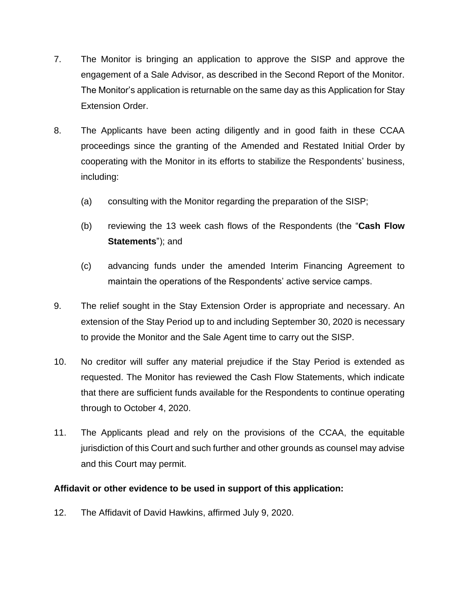- 7. The Monitor is bringing an application to approve the SISP and approve the engagement of a Sale Advisor, as described in the Second Report of the Monitor. The Monitor's application is returnable on the same day as this Application for Stay Extension Order.
- 8. The Applicants have been acting diligently and in good faith in these CCAA proceedings since the granting of the Amended and Restated Initial Order by cooperating with the Monitor in its efforts to stabilize the Respondents' business, including:
	- (a) consulting with the Monitor regarding the preparation of the SISP;
	- (b) reviewing the 13 week cash flows of the Respondents (the "**Cash Flow Statements**"); and
	- (c) advancing funds under the amended Interim Financing Agreement to maintain the operations of the Respondents' active service camps.
- 9. The relief sought in the Stay Extension Order is appropriate and necessary. An extension of the Stay Period up to and including September 30, 2020 is necessary to provide the Monitor and the Sale Agent time to carry out the SISP.
- 10. No creditor will suffer any material prejudice if the Stay Period is extended as requested. The Monitor has reviewed the Cash Flow Statements, which indicate that there are sufficient funds available for the Respondents to continue operating through to October 4, 2020.
- 11. The Applicants plead and rely on the provisions of the CCAA, the equitable jurisdiction of this Court and such further and other grounds as counsel may advise and this Court may permit.

## **Affidavit or other evidence to be used in support of this application:**

12. The Affidavit of David Hawkins, affirmed July 9, 2020.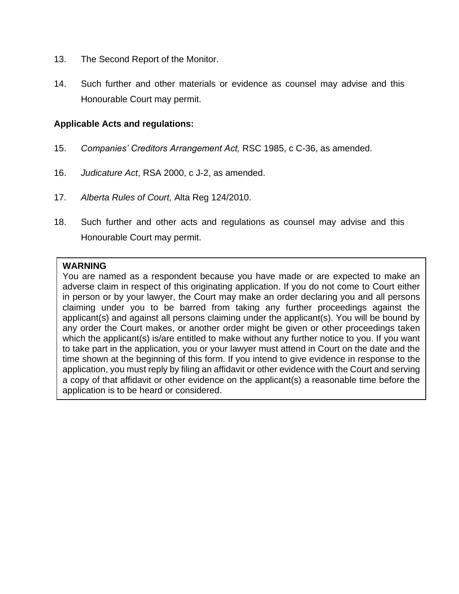- 13. The Second Report of the Monitor.
- 14. Such further and other materials or evidence as counsel may advise and this Honourable Court may permit.

### **Applicable Acts and regulations:**

- 15. *Companies' Creditors Arrangement Act,* RSC 1985, c C-36, as amended.
- 16. *Judicature Act*, RSA 2000, c J-2, as amended.
- 17. *Alberta Rules of Court,* Alta Reg 124/2010.
- 18. Such further and other acts and regulations as counsel may advise and this Honourable Court may permit.

### **WARNING**

You are named as a respondent because you have made or are expected to make an adverse claim in respect of this originating application. If you do not come to Court either in person or by your lawyer, the Court may make an order declaring you and all persons claiming under you to be barred from taking any further proceedings against the applicant(s) and against all persons claiming under the applicant(s). You will be bound by any order the Court makes, or another order might be given or other proceedings taken which the applicant(s) is/are entitled to make without any further notice to you. If you want to take part in the application, you or your lawyer must attend in Court on the date and the time shown at the beginning of this form. If you intend to give evidence in response to the application, you must reply by filing an affidavit or other evidence with the Court and serving a copy of that affidavit or other evidence on the applicant(s) a reasonable time before the application is to be heard or considered.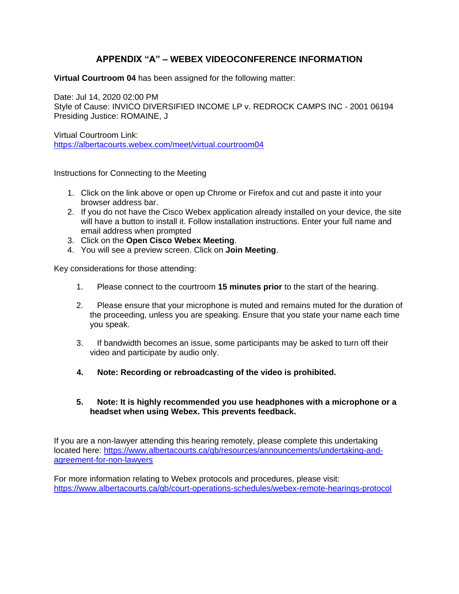## **APPENDIX "A" – WEBEX VIDEOCONFERENCE INFORMATION**

**Virtual Courtroom 04** has been assigned for the following matter:

Date: Jul 14, 2020 02:00 PM Style of Cause: INVICO DIVERSIFIED INCOME LP v. REDROCK CAMPS INC - 2001 06194 Presiding Justice: ROMAINE, J

Virtual Courtroom Link: <https://albertacourts.webex.com/meet/virtual.courtroom04>

Instructions for Connecting to the Meeting

- 1. Click on the link above or open up Chrome or Firefox and cut and paste it into your browser address bar.
- 2. If you do not have the Cisco Webex application already installed on your device, the site will have a button to install it. Follow installation instructions. Enter your full name and email address when prompted
- 3. Click on the **Open Cisco Webex Meeting**.
- 4. You will see a preview screen. Click on **Join Meeting**.

Key considerations for those attending:

- 1. Please connect to the courtroom **15 minutes prior** to the start of the hearing.
- 2. Please ensure that your microphone is muted and remains muted for the duration of the proceeding, unless you are speaking. Ensure that you state your name each time you speak.
- 3. If bandwidth becomes an issue, some participants may be asked to turn off their video and participate by audio only.
- **4. Note: Recording or rebroadcasting of the video is prohibited.**

### **5. Note: It is highly recommended you use headphones with a microphone or a headset when using Webex. This prevents feedback.**

If you are a non-lawyer attending this hearing remotely, please complete this undertaking located here: [https://www.albertacourts.ca/qb/resources/announcements/undertaking-and](https://urldefense.proofpoint.com/v2/url?u=https-3A__www.albertacourts.ca_qb_resources_announcements_undertaking-2Dand-2Dagreement-2Dfor-2Dnon-2Dlawyers&d=DwMFAg&c=d0WXBk_Z-g8VkGhzz_gPiQ&r=lyp85WH4UQ_-VZt2DF1vgi6SsXbHBiCsj3Q9e_emVYc&m=MdgpTohFYPfdm5vaPzoD0gUKwoiqUk1DExXI6q01XM0&s=mOKYGg-qxwoi9rt82sjRqcSTyjnB2st8fvHT-R0xgg8&e=)[agreement-for-non-lawyers](https://urldefense.proofpoint.com/v2/url?u=https-3A__www.albertacourts.ca_qb_resources_announcements_undertaking-2Dand-2Dagreement-2Dfor-2Dnon-2Dlawyers&d=DwMFAg&c=d0WXBk_Z-g8VkGhzz_gPiQ&r=lyp85WH4UQ_-VZt2DF1vgi6SsXbHBiCsj3Q9e_emVYc&m=MdgpTohFYPfdm5vaPzoD0gUKwoiqUk1DExXI6q01XM0&s=mOKYGg-qxwoi9rt82sjRqcSTyjnB2st8fvHT-R0xgg8&e=)

For more information relating to Webex protocols and procedures, please visit: [https://www.albertacourts.ca/qb/court-operations-schedules/webex-remote-hearings-protocol](https://urldefense.proofpoint.com/v2/url?u=https-3A__www.albertacourts.ca_qb_court-2Doperations-2Dschedules_webex-2Dremote-2Dhearings-2Dprotocol&d=DwMFAg&c=d0WXBk_Z-g8VkGhzz_gPiQ&r=lyp85WH4UQ_-VZt2DF1vgi6SsXbHBiCsj3Q9e_emVYc&m=MdgpTohFYPfdm5vaPzoD0gUKwoiqUk1DExXI6q01XM0&s=nM_CmAkKMz5VfkmZChy4fGuFCz_Os97V0FM0nWTOYhA&e=)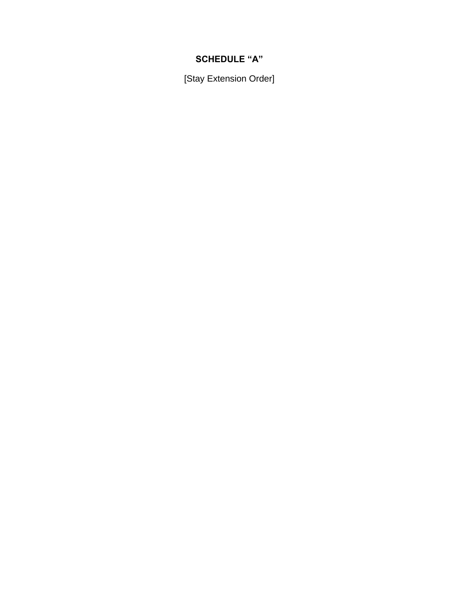# **SCHEDULE "A"**

[Stay Extension Order]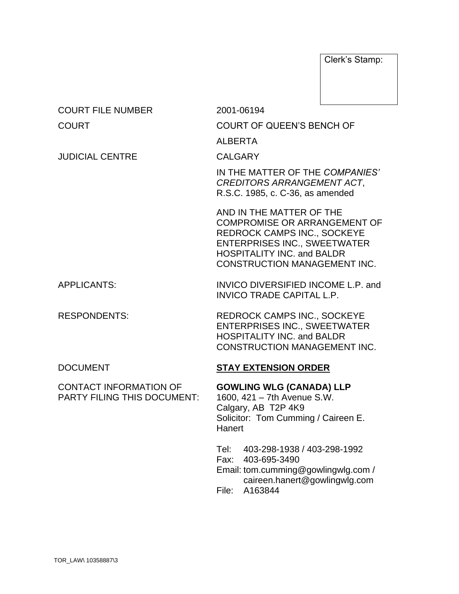Clerk's Stamp:

| <b>COURT FILE NUMBER</b>                                            | 2001-06194                                                                                                                                                                                                               |  |
|---------------------------------------------------------------------|--------------------------------------------------------------------------------------------------------------------------------------------------------------------------------------------------------------------------|--|
| <b>COURT</b>                                                        | COURT OF QUEEN'S BENCH OF                                                                                                                                                                                                |  |
|                                                                     | <b>ALBERTA</b>                                                                                                                                                                                                           |  |
| <b>JUDICIAL CENTRE</b>                                              | <b>CALGARY</b>                                                                                                                                                                                                           |  |
|                                                                     | IN THE MATTER OF THE COMPANIES'<br><b>CREDITORS ARRANGEMENT ACT,</b><br>R.S.C. 1985, c. C-36, as amended                                                                                                                 |  |
|                                                                     | AND IN THE MATTER OF THE<br><b>COMPROMISE OR ARRANGEMENT OF</b><br><b>REDROCK CAMPS INC., SOCKEYE</b><br><b>ENTERPRISES INC., SWEETWATER</b><br><b>HOSPITALITY INC. and BALDR</b><br><b>CONSTRUCTION MANAGEMENT INC.</b> |  |
| <b>APPLICANTS:</b>                                                  | INVICO DIVERSIFIED INCOME L.P. and<br><b>INVICO TRADE CAPITAL L.P.</b>                                                                                                                                                   |  |
| <b>RESPONDENTS:</b>                                                 | <b>REDROCK CAMPS INC., SOCKEYE</b><br><b>ENTERPRISES INC., SWEETWATER</b><br><b>HOSPITALITY INC. and BALDR</b><br><b>CONSTRUCTION MANAGEMENT INC.</b>                                                                    |  |
| <b>DOCUMENT</b>                                                     | <b>STAY EXTENSION ORDER</b>                                                                                                                                                                                              |  |
| <b>CONTACT INFORMATION OF</b><br><b>PARTY FILING THIS DOCUMENT:</b> | <b>GOWLING WLG (CANADA) LLP</b><br>1600, 421 - 7th Avenue S.W.<br>Calgary, AB T2P 4K9<br>Solicitor: Tom Cumming / Caireen E.<br>Hanert                                                                                   |  |
|                                                                     | 403-298-1938 / 403-298-1992<br>Tel:<br>Fax: 403-695-3490<br>Email: tom.cumming@gowlingwlg.com /<br>caireen.hanert@gowlingwlg.com<br>A163844<br>File:                                                                     |  |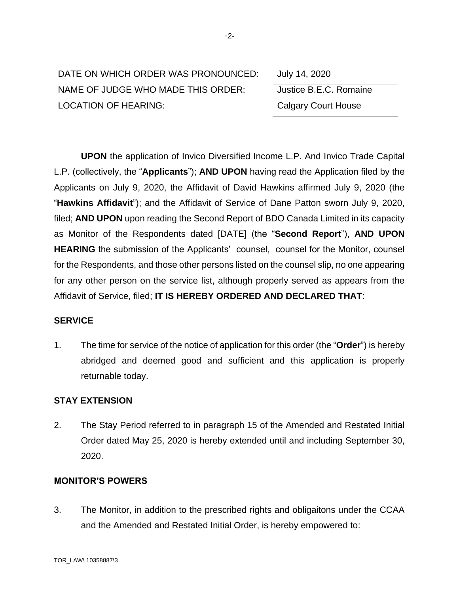| DATE ON WHICH ORDER WAS PRONOUNCED: | July 14, 2020              |
|-------------------------------------|----------------------------|
| NAME OF JUDGE WHO MADE THIS ORDER:  | Justice B.E.C. Romaine     |
| <b>LOCATION OF HEARING:</b>         | <b>Calgary Court House</b> |

| July 14, 2020              |
|----------------------------|
| Justice B.E.C. Romaine     |
| <b>Calgary Court House</b> |

**UPON** the application of Invico Diversified Income L.P. And Invico Trade Capital L.P. (collectively, the "**Applicants**"); **AND UPON** having read the Application filed by the Applicants on July 9, 2020, the Affidavit of David Hawkins affirmed July 9, 2020 (the "**Hawkins Affidavit**"); and the Affidavit of Service of Dane Patton sworn July 9, 2020, filed; **AND UPON** upon reading the Second Report of BDO Canada Limited in its capacity as Monitor of the Respondents dated [DATE] (the "**Second Report**"), **AND UPON HEARING** the submission of the Applicants' counsel, counsel for the Monitor, counsel for the Respondents, and those other persons listed on the counsel slip, no one appearing for any other person on the service list, although properly served as appears from the Affidavit of Service, filed; **IT IS HEREBY ORDERED AND DECLARED THAT**:

### **SERVICE**

1. The time for service of the notice of application for this order (the "**Order**") is hereby abridged and deemed good and sufficient and this application is properly returnable today.

### **STAY EXTENSION**

2. The Stay Period referred to in paragraph 15 of the Amended and Restated Initial Order dated May 25, 2020 is hereby extended until and including September 30, 2020.

### **MONITOR'S POWERS**

3. The Monitor, in addition to the prescribed rights and obligaitons under the CCAA and the Amended and Restated Initial Order, is hereby empowered to: